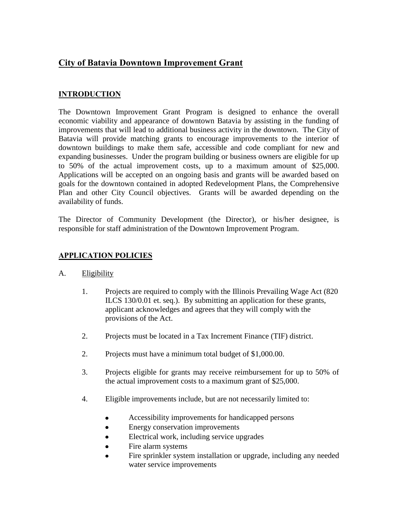# **City of Batavia Downtown Improvement Grant**

### **INTRODUCTION**

The Downtown Improvement Grant Program is designed to enhance the overall economic viability and appearance of downtown Batavia by assisting in the funding of improvements that will lead to additional business activity in the downtown. The City of Batavia will provide matching grants to encourage improvements to the interior of downtown buildings to make them safe, accessible and code compliant for new and expanding businesses. Under the program building or business owners are eligible for up to 50% of the actual improvement costs, up to a maximum amount of \$25,000. Applications will be accepted on an ongoing basis and grants will be awarded based on goals for the downtown contained in adopted Redevelopment Plans, the Comprehensive Plan and other City Council objectives. Grants will be awarded depending on the availability of funds.

The Director of Community Development (the Director), or his/her designee, is responsible for staff administration of the Downtown Improvement Program.

## **APPLICATION POLICIES**

#### A. Eligibility

- 1. Projects are required to comply with the Illinois Prevailing Wage Act (820 ILCS 130/0.01 et. seq.). By submitting an application for these grants, applicant acknowledges and agrees that they will comply with the provisions of the Act.
- 2. Projects must be located in a Tax Increment Finance (TIF) district.
- 2. Projects must have a minimum total budget of \$1,000.00.
- 3. Projects eligible for grants may receive reimbursement for up to 50% of the actual improvement costs to a maximum grant of \$25,000.
- 4. Eligible improvements include, but are not necessarily limited to:
	- Accessibility improvements for handicapped persons  $\bullet$
	- Energy conservation improvements
	- Electrical work, including service upgrades  $\bullet$
	- Fire alarm systems  $\bullet$
	- Fire sprinkler system installation or upgrade, including any needed water service improvements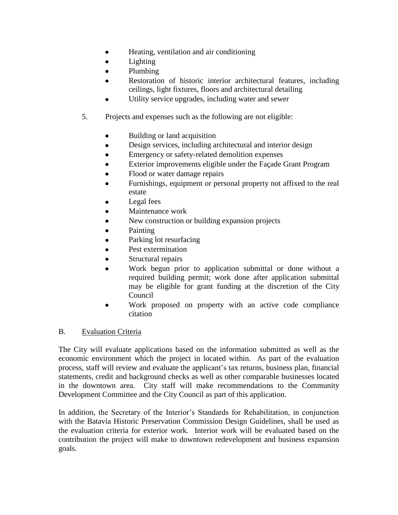- Heating, ventilation and air conditioning  $\bullet$
- Lighting  $\bullet$
- $\bullet$ Plumbing
- Restoration of historic interior architectural features, including  $\bullet$ ceilings, light fixtures, floors and architectural detailing
- Utility service upgrades, including water and sewer  $\bullet$
- 5. Projects and expenses such as the following are not eligible:
	- Building or land acquisition  $\bullet$
	- Design services, including architectural and interior design  $\bullet$
	- Emergency or safety-related demolition expenses  $\bullet$
	- $\bullet$ Exterior improvements eligible under the Façade Grant Program
	- Flood or water damage repairs
	- Furnishings, equipment or personal property not affixed to the real estate
	- Legal fees
	- Maintenance work  $\bullet$
	- New construction or building expansion projects
	- Painting  $\bullet$
	- $\bullet$ Parking lot resurfacing
	- Pest extermination  $\bullet$
	- Structural repairs
	- Work begun prior to application submittal or done without a required building permit; work done after application submittal may be eligible for grant funding at the discretion of the City Council
	- Work proposed on property with an active code compliance  $\bullet$ citation

#### B. Evaluation Criteria

The City will evaluate applications based on the information submitted as well as the economic environment which the project in located within. As part of the evaluation process, staff will review and evaluate the applicant's tax returns, business plan, financial statements, credit and background checks as well as other comparable businesses located in the downtown area. City staff will make recommendations to the Community Development Committee and the City Council as part of this application.

In addition, the Secretary of the Interior's Standards for Rehabilitation, in conjunction with the Batavia Historic Preservation Commission Design Guidelines, shall be used as the evaluation criteria for exterior work. Interior work will be evaluated based on the contribution the project will make to downtown redevelopment and business expansion goals.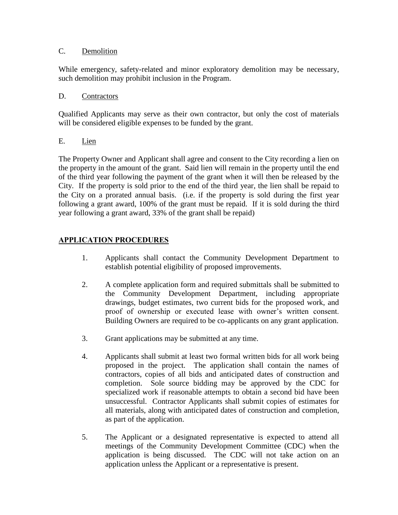#### C. Demolition

While emergency, safety-related and minor exploratory demolition may be necessary, such demolition may prohibit inclusion in the Program.

#### D. Contractors

Qualified Applicants may serve as their own contractor, but only the cost of materials will be considered eligible expenses to be funded by the grant.

## E. Lien

The Property Owner and Applicant shall agree and consent to the City recording a lien on the property in the amount of the grant. Said lien will remain in the property until the end of the third year following the payment of the grant when it will then be released by the City. If the property is sold prior to the end of the third year, the lien shall be repaid to the City on a prorated annual basis. (i.e. if the property is sold during the first year following a grant award, 100% of the grant must be repaid. If it is sold during the third year following a grant award, 33% of the grant shall be repaid)

## **APPLICATION PROCEDURES**

- 1. Applicants shall contact the Community Development Department to establish potential eligibility of proposed improvements.
- 2. A complete application form and required submittals shall be submitted to the Community Development Department, including appropriate drawings, budget estimates, two current bids for the proposed work, and proof of ownership or executed lease with owner's written consent. Building Owners are required to be co-applicants on any grant application.
- 3. Grant applications may be submitted at any time.
- 4. Applicants shall submit at least two formal written bids for all work being proposed in the project. The application shall contain the names of contractors, copies of all bids and anticipated dates of construction and completion. Sole source bidding may be approved by the CDC for specialized work if reasonable attempts to obtain a second bid have been unsuccessful. Contractor Applicants shall submit copies of estimates for all materials, along with anticipated dates of construction and completion, as part of the application.
- 5. The Applicant or a designated representative is expected to attend all meetings of the Community Development Committee (CDC) when the application is being discussed. The CDC will not take action on an application unless the Applicant or a representative is present.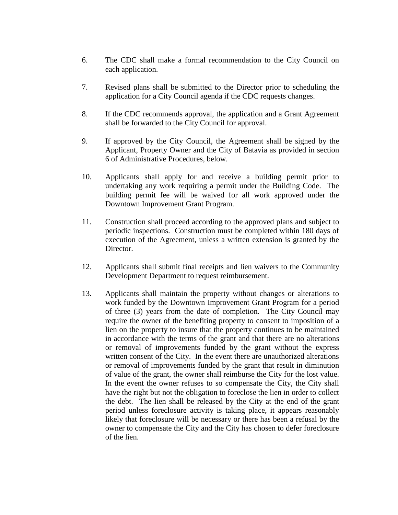- 6. The CDC shall make a formal recommendation to the City Council on each application.
- 7. Revised plans shall be submitted to the Director prior to scheduling the application for a City Council agenda if the CDC requests changes.
- 8. If the CDC recommends approval, the application and a Grant Agreement shall be forwarded to the City Council for approval.
- 9. If approved by the City Council, the Agreement shall be signed by the Applicant, Property Owner and the City of Batavia as provided in section 6 of Administrative Procedures, below.
- 10. Applicants shall apply for and receive a building permit prior to undertaking any work requiring a permit under the Building Code. The building permit fee will be waived for all work approved under the Downtown Improvement Grant Program.
- 11. Construction shall proceed according to the approved plans and subject to periodic inspections. Construction must be completed within 180 days of execution of the Agreement, unless a written extension is granted by the Director.
- 12. Applicants shall submit final receipts and lien waivers to the Community Development Department to request reimbursement.
- 13. Applicants shall maintain the property without changes or alterations to work funded by the Downtown Improvement Grant Program for a period of three (3) years from the date of completion. The City Council may require the owner of the benefiting property to consent to imposition of a lien on the property to insure that the property continues to be maintained in accordance with the terms of the grant and that there are no alterations or removal of improvements funded by the grant without the express written consent of the City. In the event there are unauthorized alterations or removal of improvements funded by the grant that result in diminution of value of the grant, the owner shall reimburse the City for the lost value. In the event the owner refuses to so compensate the City, the City shall have the right but not the obligation to foreclose the lien in order to collect the debt. The lien shall be released by the City at the end of the grant period unless foreclosure activity is taking place, it appears reasonably likely that foreclosure will be necessary or there has been a refusal by the owner to compensate the City and the City has chosen to defer foreclosure of the lien.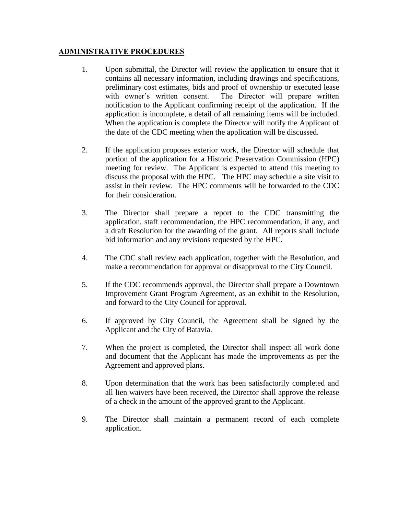#### **ADMINISTRATIVE PROCEDURES**

- 1. Upon submittal, the Director will review the application to ensure that it contains all necessary information, including drawings and specifications, preliminary cost estimates, bids and proof of ownership or executed lease with owner's written consent. The Director will prepare written notification to the Applicant confirming receipt of the application. If the application is incomplete, a detail of all remaining items will be included. When the application is complete the Director will notify the Applicant of the date of the CDC meeting when the application will be discussed.
- 2. If the application proposes exterior work, the Director will schedule that portion of the application for a Historic Preservation Commission (HPC) meeting for review. The Applicant is expected to attend this meeting to discuss the proposal with the HPC. The HPC may schedule a site visit to assist in their review. The HPC comments will be forwarded to the CDC for their consideration.
- 3. The Director shall prepare a report to the CDC transmitting the application, staff recommendation, the HPC recommendation, if any, and a draft Resolution for the awarding of the grant. All reports shall include bid information and any revisions requested by the HPC.
- 4. The CDC shall review each application, together with the Resolution, and make a recommendation for approval or disapproval to the City Council.
- 5. If the CDC recommends approval, the Director shall prepare a Downtown Improvement Grant Program Agreement, as an exhibit to the Resolution, and forward to the City Council for approval.
- 6. If approved by City Council, the Agreement shall be signed by the Applicant and the City of Batavia.
- 7. When the project is completed, the Director shall inspect all work done and document that the Applicant has made the improvements as per the Agreement and approved plans.
- 8. Upon determination that the work has been satisfactorily completed and all lien waivers have been received, the Director shall approve the release of a check in the amount of the approved grant to the Applicant.
- 9. The Director shall maintain a permanent record of each complete application.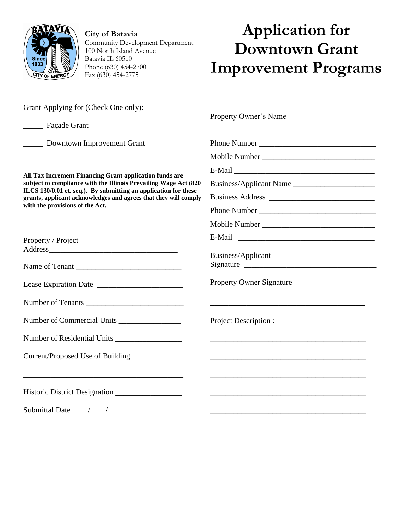

**City of Batavia** Community Development Department 100 North Island Avenue Batavia IL 60510 Phone (630) 454-2700 Fax (630) 454-2775

# **Application for Downtown Grant Improvement Programs**

\_\_\_\_\_\_\_\_\_\_\_\_\_\_\_\_\_\_\_\_\_\_\_\_\_\_\_\_\_\_\_\_\_\_\_\_\_\_\_\_\_\_

**\_\_\_\_\_\_\_\_\_\_\_\_\_\_\_\_\_\_\_\_\_\_\_\_\_\_\_\_\_\_\_\_\_\_**

\_\_\_\_\_\_\_\_\_\_\_\_\_\_\_\_\_\_\_\_\_\_\_\_\_\_\_\_\_\_\_\_\_\_\_\_\_\_\_\_

\_\_\_\_\_\_\_\_\_\_\_\_\_\_\_\_\_\_\_\_\_\_\_\_\_\_\_\_\_\_\_\_\_\_\_\_\_\_\_\_

\_\_\_\_\_\_\_\_\_\_\_\_\_\_\_\_\_\_\_\_\_\_\_\_\_\_\_\_\_\_\_\_\_\_\_\_\_\_\_\_

\_\_\_\_\_\_\_\_\_\_\_\_\_\_\_\_\_\_\_\_\_\_\_\_\_\_\_\_\_\_\_\_\_\_\_\_\_\_\_\_

\_\_\_\_\_\_\_\_\_\_\_\_\_\_\_\_\_\_\_\_\_\_\_\_\_\_\_\_\_\_\_\_\_\_\_\_\_\_\_\_

Grant Applying for (Check One only):

\_\_\_\_\_ Façade Grant

\_\_\_\_\_ Downtown Improvement Grant

**All Tax Increment Financing Grant application funds are subject to compliance with the Illinois Prevailing Wage Act (820 ILCS 130/0.01 et. seq.). By submitting an application for these grants, applicant acknowledges and agrees that they will comply with the provisions of the Act.** 

| Property / Project |  |
|--------------------|--|
| Address            |  |

| Name of Tenant |
|----------------|
|                |

Lease Expiration Date \_\_\_\_\_\_\_\_\_\_\_\_\_\_\_\_\_\_\_\_\_\_

| <b>Number of Tenants</b> |  |
|--------------------------|--|
|                          |  |

\_\_\_\_\_\_\_\_\_\_\_\_\_\_\_\_\_\_\_\_\_\_\_\_\_\_\_\_\_\_\_\_\_\_\_\_\_\_\_\_\_

| Number of Residential Units |  |
|-----------------------------|--|
|                             |  |

Historic District Designation \_\_\_\_\_\_\_\_\_\_\_\_\_\_\_\_\_

Submittal Date \_\_\_\_/\_\_\_\_/\_\_\_\_

Property Owner's Name

Phone Number \_\_\_\_\_\_\_\_\_\_\_\_\_\_\_\_\_\_\_\_\_\_\_\_\_\_\_\_\_\_

Mobile Number \_\_\_\_\_\_\_\_\_\_\_\_\_\_\_\_\_\_\_\_\_\_\_\_\_\_\_\_\_

 $E$ -Mail  $\qquad \qquad \qquad$ 

Business/Applicant Name \_\_\_\_\_\_\_\_\_\_\_\_\_\_\_\_\_\_\_\_\_

Business Address Phone Number

Mobile Number \_\_\_\_\_\_\_\_\_\_\_\_\_\_\_\_\_\_\_\_\_\_\_\_\_\_\_\_\_

E-Mail \_\_\_\_\_\_\_\_\_\_\_\_\_\_\_\_\_\_\_\_\_\_\_\_\_\_\_\_\_\_\_\_\_\_\_

Business/Applicant Signature \_\_\_\_\_\_\_\_\_\_\_\_\_\_\_\_\_\_\_\_\_\_\_\_\_\_\_\_\_\_\_\_\_\_

Property Owner Signature

Project Description :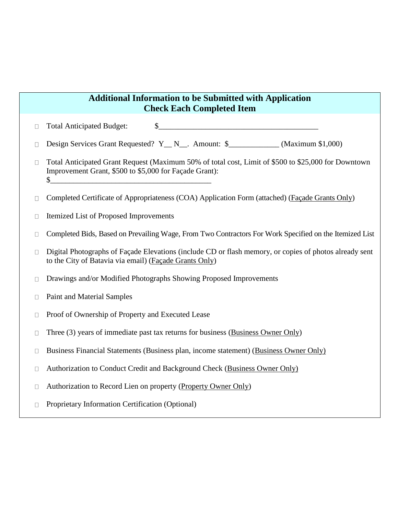# **Additional Information to be Submitted with Application Check Each Completed Item**

Total Anticipated Budget:  $\qquad \qquad \$$  $\Box$ 

Design Services Grant Requested? Y\_N\_. Amount: \$\_\_\_\_\_\_\_\_\_\_\_\_ (Maximum \$1,000)  $\Box$ 

Total Anticipated Grant Request (Maximum 50% of total cost, Limit of \$500 to \$25,000 for Downtown  $\Box$ Improvement Grant, \$500 to \$5,000 for Façade Grant):  $\frac{1}{2}$ 

Completed Certificate of Appropriateness (COA) Application Form (attached) (Façade Grants Only)  $\Box$ 

Itemized List of Proposed Improvements  $\Box$ 

Completed Bids, Based on Prevailing Wage, From Two Contractors For Work Specified on the Itemized List  $\Box$ 

Digital Photographs of Façade Elevations (include CD or flash memory, or copies of photos already sent  $\Box$ to the City of Batavia via email) (Façade Grants Only)

Drawings and/or Modified Photographs Showing Proposed Improvements  $\Box$ 

Paint and Material Samples  $\Box$ 

- Proof of Ownership of Property and Executed Lease  $\Box$
- Three (3) years of immediate past tax returns for business (Business Owner Only)  $\Box$
- Business Financial Statements (Business plan, income statement) (Business Owner Only)  $\Box$
- Authorization to Conduct Credit and Background Check (Business Owner Only)  $\Box$
- Authorization to Record Lien on property (Property Owner Only)  $\Box$
- Proprietary Information Certification (Optional) $\Box$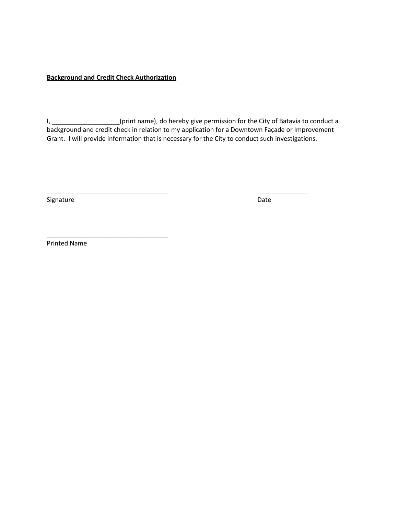#### **Background and Credit Check Authorization**

\_\_\_\_\_\_\_\_\_\_\_\_\_\_\_\_\_\_\_\_\_\_\_\_\_\_\_\_\_\_\_\_\_\_

I, \_\_\_\_\_\_\_\_\_\_\_\_\_\_\_\_\_\_\_(print name), do hereby give permission for the City of Batavia to conduct a background and credit check in relation to my application for a Downtown Façade or Improvement Grant. I will provide information that is necessary for the City to conduct such investigations.

\_\_\_\_\_\_\_\_\_\_\_\_\_\_\_\_\_\_\_\_\_\_\_\_\_\_\_\_\_\_\_\_\_\_ \_\_\_\_\_\_\_\_\_\_\_\_\_\_

Signature Date Date Accounts and the Date Date Date Date Date

Printed Name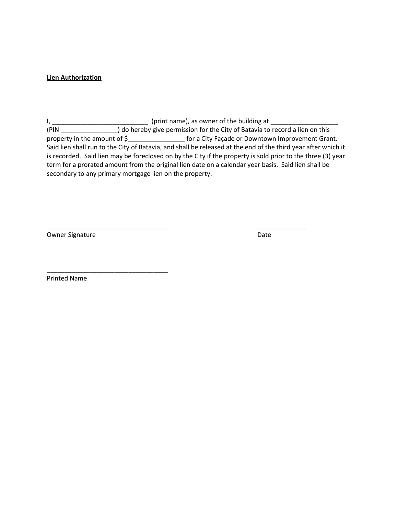#### **Lien Authorization**

I, \_\_\_\_\_\_\_\_\_\_\_\_\_\_\_\_\_\_\_\_\_\_\_\_\_\_\_\_\_\_\_\_\_\_\_(print name), as owner of the building at \_\_\_\_\_\_\_\_\_\_\_\_\_\_\_\_\_\_\_\_\_\_\_\_\_\_\_\_\_\_ (PIN \_\_\_\_\_\_\_\_\_\_\_\_\_\_\_\_) do hereby give permission for the City of Batavia to record a lien on this property in the amount of  $\frac{2}{5}$  for a City Façade or Downtown Improvement Grant. Said lien shall run to the City of Batavia, and shall be released at the end of the third year after which it is recorded. Said lien may be foreclosed on by the City if the property is sold prior to the three (3) year term for a prorated amount from the original lien date on a calendar year basis. Said lien shall be secondary to any primary mortgage lien on the property.

\_\_\_\_\_\_\_\_\_\_\_\_\_\_\_\_\_\_\_\_\_\_\_\_\_\_\_\_\_\_\_\_\_\_ \_\_\_\_\_\_\_\_\_\_\_\_\_\_

Owner Signature Date and Date Date Date Date

Printed Name

\_\_\_\_\_\_\_\_\_\_\_\_\_\_\_\_\_\_\_\_\_\_\_\_\_\_\_\_\_\_\_\_\_\_